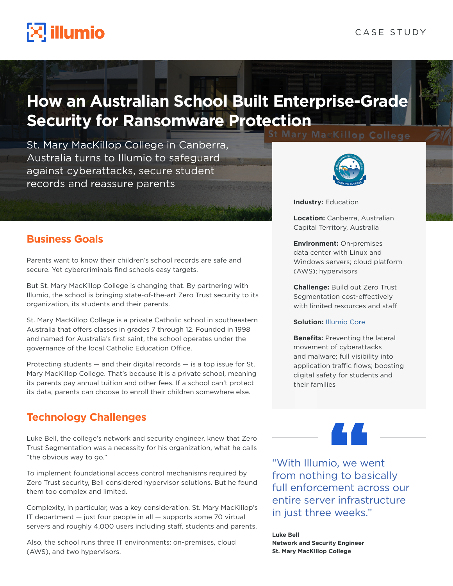# $\mathbb{R}$  illumio

# **How an Australian School Built Enterprise-Grade Security for Ransomware Protection**

St. Mary MacKillop College in Canberra, Australia turns to Illumio to safeguard against cyberattacks, secure student records and reassure parents

# **Business Goals**

Parents want to know their children's school records are safe and secure. Yet cybercriminals find schools easy targets.

But St. Mary MacKillop College is changing that. By partnering with Illumio, the school is bringing state-of-the-art Zero Trust security to its organization, its students and their parents.

St. Mary MacKillop College is a private Catholic school in southeastern Australia that offers classes in grades 7 through 12. Founded in 1998 and named for Australia's first saint, the school operates under the governance of the local Catholic Education Office.

Protecting students — and their digital records — is a top issue for St. Mary MacKillop College. That's because it is a private school, meaning its parents pay annual tuition and other fees. If a school can't protect its data, parents can choose to enroll their children somewhere else.

# **Technology Challenges**

Luke Bell, the college's network and security engineer, knew that Zero Trust Segmentation was a necessity for his organization, what he calls "the obvious way to go."

To implement foundational access control mechanisms required by Zero Trust security, Bell considered hypervisor solutions. But he found them too complex and limited.

Complexity, in particular, was a key consideration. St. Mary MacKillop's IT department — just four people in all — supports some 70 virtual servers and roughly 4,000 users including staff, students and parents.

Also, the school runs three IT environments: on-premises, cloud (AWS), and two hypervisors.



**Industry:** Education

**Location:** Canberra, Australian Capital Territory, Australia

**Environment:** On-premises data center with Linux and Windows servers; cloud platform (AWS); hypervisors

**Challenge:** Build out Zero Trust Segmentation cost-effectively with limited resources and staff

### **Solution:** [Illumio Core](https://www.illumio.com/products/core)

**Benefits: Preventing the lateral** movement of cyberattacks and malware; full visibility into application traffic flows; boosting digital safety for students and their families

"With Illumio, we went from nothing to basically full enforcement across our entire server infrastructure in just three weeks."

**Luke Bell Network and Security Engineer St. Mary MacKillop College**